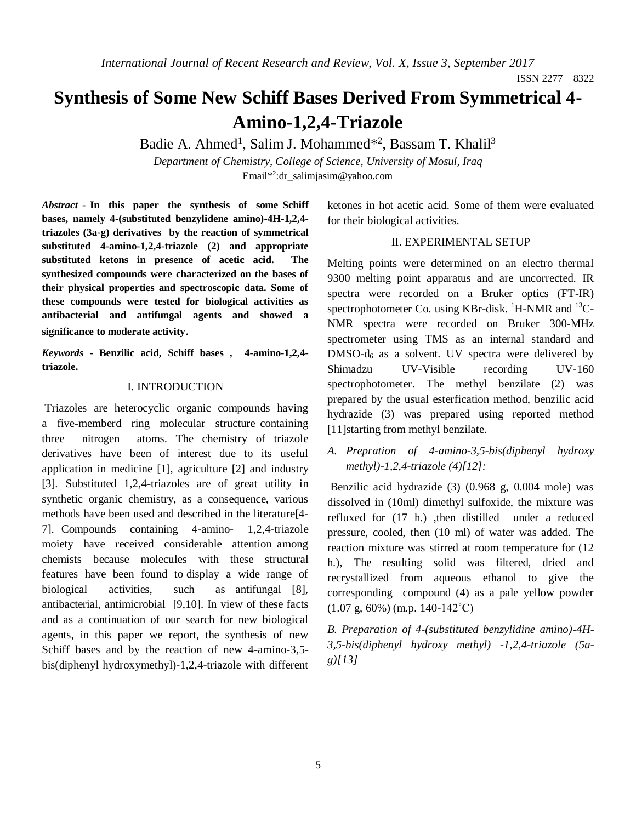# **Synthesis of Some New Schiff Bases Derived From Symmetrical 4- Amino-1,2,4-Triazole**

Badie A. Ahmed<sup>1</sup>, Salim J. Mohammed<sup>\*2</sup>, Bassam T. Khalil<sup>3</sup>

*Department of Chemistry, College of Science, University of Mosul, Iraq* Email\* 2 :dr\_salimjasim@yahoo.com

*Abstract* **- In this paper the synthesis of some Schiff bases, namely 4-(substituted benzylidene amino)-4H-1,2,4 triazoles (3a-g) derivatives by the reaction of symmetrical substituted 4-amino-1,2,4-triazole (2) and appropriate substituted ketons in presence of acetic acid. The synthesized compounds were characterized on the bases of their physical properties and spectroscopic data. Some of these compounds were tested for biological activities as antibacterial and antifungal agents and showed a significance to moderate activity**.

*Keywords* **- Benzilic acid, Schiff bases , 4-amino-1,2,4 triazole.**

#### I. INTRODUCTION

Triazoles are heterocyclic organic compounds having a five-memberd ring molecular structure containing three nitrogen atoms. The chemistry of triazole derivatives have been of interest due to its useful application in medicine [1], agriculture [2] and industry [3]. Substituted 1,2,4-triazoles are of great utility in synthetic organic chemistry, as a consequence, various methods have been used and described in the literature[4- 7]. Compounds containing 4-amino- 1,2,4-triazole moiety have received considerable attention among chemists because molecules with these structural features have been found to display a wide range of biological activities, such as antifungal [8], antibacterial, antimicrobial [9,10]. In view of these facts and as a continuation of our search for new biological agents, in this paper we report, the synthesis of new Schiff bases and by the reaction of new 4-amino-3,5 bis(diphenyl hydroxymethyl)-1,2,4-triazole with different ketones in hot acetic acid. Some of them were evaluated for their biological activities.

#### II. EXPERIMENTAL SETUP

Melting points were determined on an electro thermal 9300 melting point apparatus and are uncorrected. IR spectra were recorded on a Bruker optics (FT-IR) spectrophotometer Co. using KBr-disk.  $^1$ H-NMR and  $^{13}$ C-NMR spectra were recorded on Bruker 300-MHz spectrometer using TMS as an internal standard and  $DMSO-d<sub>6</sub>$  as a solvent. UV spectra were delivered by Shimadzu UV-Visible recording UV-160 spectrophotometer. The methyl benzilate (2) was prepared by the usual esterfication method, benzilic acid hydrazide (3) was prepared using reported method [11] starting from methyl benzilate.

*A. Prepration of 4-amino-3,5-bis(diphenyl hydroxy methyl)-1,2,4-triazole (4)[12]:*

Benzilic acid hydrazide (3) (0.968 g, 0.004 mole) was dissolved in (10ml) dimethyl sulfoxide, the mixture was refluxed for (17 h.) ,then distilled under a reduced pressure, cooled, then (10 ml) of water was added. The reaction mixture was stirred at room temperature for (12 h.), The resulting solid was filtered, dried and recrystallized from aqueous ethanol to give the corresponding compound (4) as a pale yellow powder  $(1.07 \text{ g}, 60\%)$  (m.p. 140-142<sup>°</sup>C)

*B. Preparation of 4-(substituted benzylidine amino)-4H-3,5-bis(diphenyl hydroxy methyl) -1,2,4-triazole (5ag)[13]*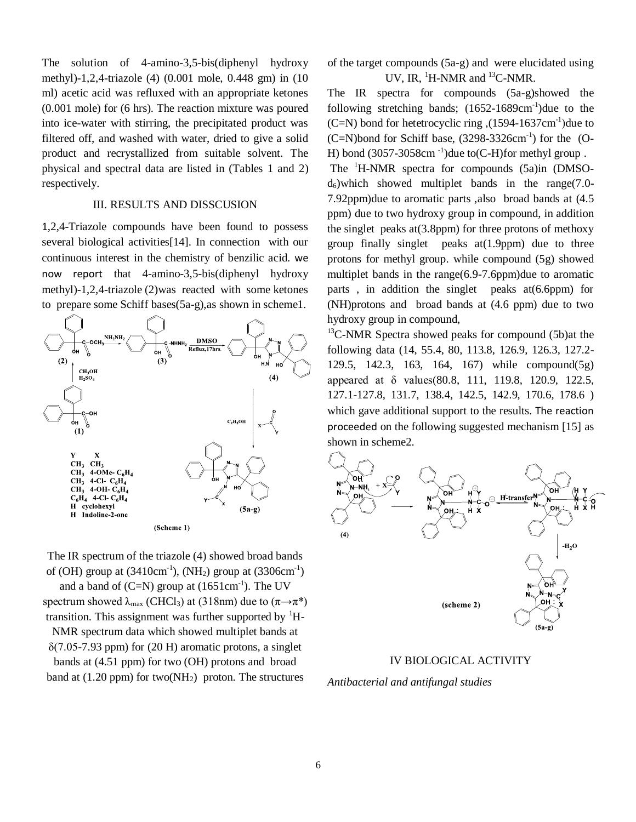The solution of 4-amino-3,5-bis(diphenyl hydroxy methyl)-1,2,4-triazole (4) (0.001 mole, 0.448 gm) in (10 ml) acetic acid was refluxed with an appropriate ketones (0.001 mole) for (6 hrs). The reaction mixture was poured into ice-water with stirring, the precipitated product was filtered off, and washed with water, dried to give a solid product and recrystallized from suitable solvent. The physical and spectral data are listed in (Tables 1 and 2) respectively.

#### III. RESULTS AND DISSCUSION

1,2,4-Triazole compounds have been found to possess several biological activities[14]. In connection with our continuous interest in the chemistry of benzilic acid. we now report that 4-amino-3,5-bis(diphenyl hydroxy methyl)-1,2,4-triazole (2)was reacted with some ketones to prepare some Schiff bases(5a-g),as shown in scheme1.



(Scheme 1)

The IR spectrum of the triazole (4) showed broad bands of (OH) group at  $(3410 \text{cm}^{-1})$ , (NH<sub>2</sub>) group at  $(3306 \text{cm}^{-1})$ and a band of  $(C=N)$  group at  $(1651 \text{cm}^{-1})$ . The UV spectrum showed  $\lambda_{\text{max}}$  (CHCl<sub>3</sub>) at (318nm) due to ( $\pi \rightarrow \pi^*$ ) transition. This assignment was further supported by  ${}^{1}$ H-NMR spectrum data which showed multiplet bands at  $\delta$ (7.05-7.93 ppm) for (20 H) aromatic protons, a singlet bands at (4.51 ppm) for two (OH) protons and broad band at  $(1.20 \text{ ppm})$  for two(NH<sub>2</sub>) proton. The structures

of the target compounds (5a-g) and were elucidated using UV, IR, <sup>1</sup>H-NMR and <sup>13</sup>C-NMR.

The IR spectra for compounds (5a-g)showed the following stretching bands;  $(1652-1689 \text{cm}^{-1})$ due to the (C=N) bond for hetetrocyclic ring  $(1594-1637 \text{cm}^{-1})$ due to  $(C=N)$ bond for Schiff base,  $(3298-3326cm^{-1})$  for the  $(O-N)$ H) bond  $(3057-3058 \text{cm}^{-1})$ due to $(C-H)$ for methyl group.

The <sup>1</sup>H-NMR spectra for compounds (5a)in (DMSO $d_6$ )which showed multiplet bands in the range(7.0-7.92ppm)due to aromatic parts ,also broad bands at (4.5 ppm) due to two hydroxy group in compound, in addition the singlet peaks  $at(3.8ppm)$  for three protons of methoxy group finally singlet peaks at(1.9ppm) due to three protons for methyl group. while compound (5g) showed multiplet bands in the range(6.9-7.6ppm)due to aromatic parts , in addition the singlet peaks at(6.6ppm) for (NH)protons and broad bands at (4.6 ppm) due to two hydroxy group in compound,

 $13^{\circ}$ C-NMR Spectra showed peaks for compound (5b) at the following data (14, 55.4, 80, 113.8, 126.9, 126.3, 127.2- 129.5, 142.3, 163, 164, 167) while compound(5g) appeared at δ values(80.8, 111, 119.8, 120.9, 122.5, 127.1-127.8, 131.7, 138.4, 142.5, 142.9, 170.6, 178.6 ) which gave additional support to the results. The reaction proceeded on the following suggested mechanism [15] as shown in scheme2.



#### IV BIOLOGICAL ACTIVITY

*Antibacterial and antifungal studies*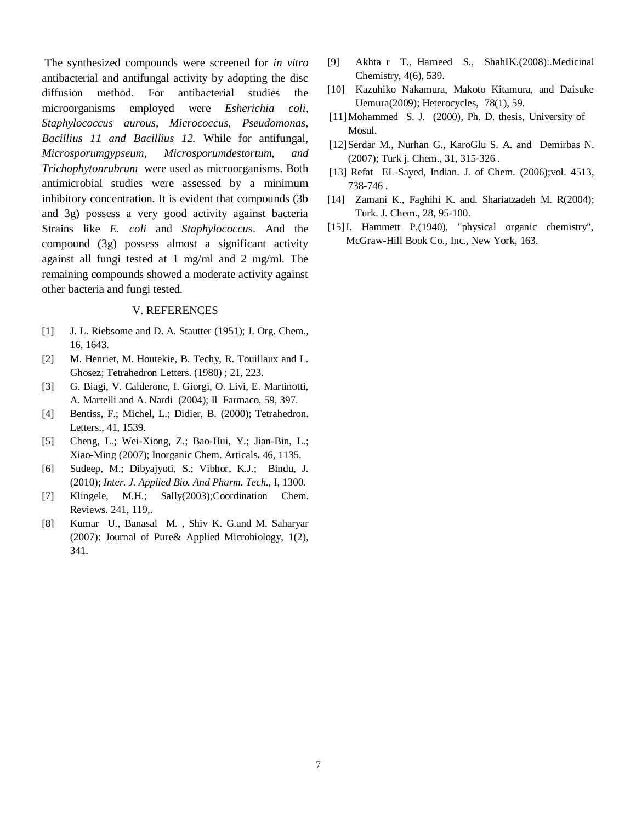The synthesized compounds were screened for *in vitro* antibacterial and antifungal activity by adopting the disc diffusion method. For antibacterial studies the microorganisms employed were *Esherichia coli, Staphylococcus aurous, Micrococcus, Pseudomonas, Bacillius 11 and Bacillius 12.* While for antifungal*, Microsporumgypseum, Microsporumdestortum, and Trichophytonrubrum* were used as microorganisms. Both antimicrobial studies were assessed by a minimum inhibitory concentration. It is evident that compounds (3b and 3g) possess a very good activity against bacteria Strains like *E. coli* and *Staphylococcu*s. And the compound (3g) possess almost a significant activity against all fungi tested at 1 mg/ml and 2 mg/ml. The remaining compounds showed a moderate activity against other bacteria and fungi tested.

#### V. REFERENCES

- [1] J. L. Riebsome and D. A. Stautter (1951); J. Org. Chem., 16, 1643.
- [2] M. Henriet, M. Houtekie, B. Techy, R. Touillaux and L. Ghosez; Tetrahedron Letters. (1980) ; 21, 223.
- [3] G. Biagi, V. Calderone, I. Giorgi, O. Livi, E. Martinotti, A. Martelli and A. Nardi (2004); Il Farmaco, 59, 397.
- [4] Bentiss, F.; Michel, L.; Didier, B. (2000); Tetrahedron. Letters., 41, 1539.
- [5] Cheng, L.; Wei-Xiong, Z.; Bao-Hui, Y.; Jian-Bin, L.; Xiao-Ming (2007); Inorganic Chem. Articals**.** 46, 1135.
- [6] Sudeep, M.; Dibyajyoti, S.; Vibhor, K.J.; Bindu, J. (2010); *Inter. J. Applied Bio. And Pharm. Tech.,* I, 1300.
- [7] Klingele, M.H.; Sally(2003);Coordination Chem. Reviews. 241, 119,.
- [8] Kumar U., Banasal M. , Shiv K. G.and M. Saharyar (2007): Journal of Pure& Applied Microbiology, 1(2), 341.
- [9] Akhta r T., Harneed S., ShahIK.(2008):.Medicinal Chemistry, 4(6), 539.
- [10] Kazuhiko Nakamura, Makoto Kitamura, and Daisuke Uemura(2009); Heterocycles, 78(1), 59.
- [11]Mohammed S. J. (2000), Ph. D. thesis, University of Mosul.
- [12] Serdar M., Nurhan G., KaroGlu S. A. and Demirbas N. (2007); Turk j. Chem., 31, 315-326 .
- [13] Refat EL-Sayed, Indian. J. of Chem. (2006);vol. 4513, 738-746 .
- [14] Zamani K., Faghihi K. and. Shariatzadeh M. R(2004); Turk. J. Chem., 28, 95-100.
- [15] I. Hammett P.(1940), "physical organic chemistry", McGraw-Hill Book Co., Inc., New York, 163.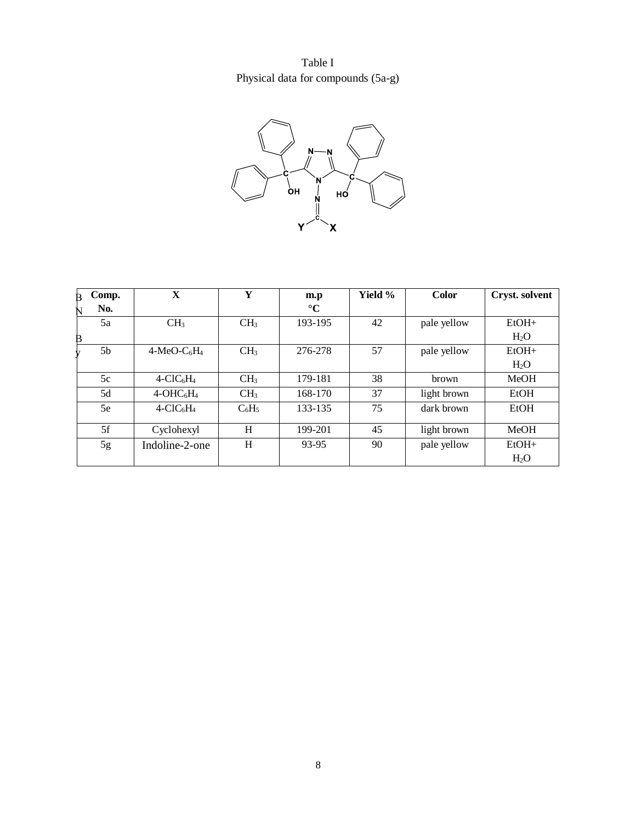Table I Physical data for compounds (5a-g)



| Comp.<br>B | $\mathbf X$                          | Y               | m.p             | Yield % | <b>Color</b> | Cryst. solvent |
|------------|--------------------------------------|-----------------|-----------------|---------|--------------|----------------|
| No.<br>N   |                                      |                 | $\rm ^{\circ}C$ |         |              |                |
| 5a         | CH <sub>3</sub>                      | CH <sub>3</sub> | 193-195         | 42      | pale yellow  | $EtOH+$        |
| ₿          |                                      |                 |                 |         |              | $H_2O$         |
| 5b         | $4-MeO-C6H4$                         | CH <sub>3</sub> | 276-278         | 57      | pale yellow  | $EtOH+$        |
|            |                                      |                 |                 |         |              | $H_2O$         |
| 5c         | $4$ -ClC <sub>6</sub> H <sub>4</sub> | CH <sub>3</sub> | 179-181         | 38      | brown        | MeOH           |
| 5d         | $4-OHC6H4$                           | CH <sub>3</sub> | 168-170         | 37      | light brown  | EtOH           |
| 5e         | $4$ -ClC $6$ H <sub>4</sub>          | $C_6H_5$        | 133-135         | 75      | dark brown   | EtOH           |
| 5f         | Cyclohexyl                           | H               | 199-201         | 45      | light brown  | MeOH           |
| 5g         | Indoline-2-one                       | H               | 93-95           | 90      | pale yellow  | $EtOH+$        |
|            |                                      |                 |                 |         |              | $H_2O$         |